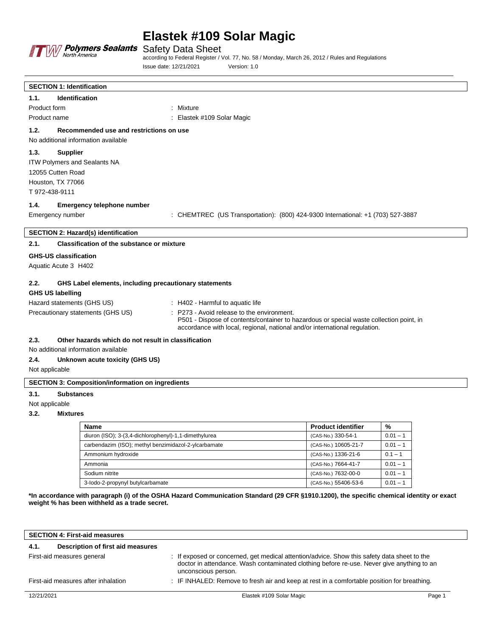

Safety Data Sheet

according to Federal Register / Vol. 77, No. 58 / Monday, March 26, 2012 / Rules and Regulations Issue date: 12/21/2021 Version: 1.0

| 1.1.<br><b>Identification</b><br>Product form<br>: Mixture<br>Product name<br>Elastek #109 Solar Magic<br>1.2.<br>Recommended use and restrictions on use<br>No additional information available<br>1.3.<br><b>Supplier</b><br>ITW Polymers and Sealants NA<br>12055 Cutten Road<br>Houston, TX 77066<br>T 972-438-9111<br>1.4.<br><b>Emergency telephone number</b><br>: CHEMTREC (US Transportation): (800) 424-9300 International: +1 (703) 527-3887<br>Emergency number<br>SECTION 2: Hazard(s) identification<br>2.1.<br><b>Classification of the substance or mixture</b><br><b>GHS-US classification</b> |
|-----------------------------------------------------------------------------------------------------------------------------------------------------------------------------------------------------------------------------------------------------------------------------------------------------------------------------------------------------------------------------------------------------------------------------------------------------------------------------------------------------------------------------------------------------------------------------------------------------------------|
|                                                                                                                                                                                                                                                                                                                                                                                                                                                                                                                                                                                                                 |
|                                                                                                                                                                                                                                                                                                                                                                                                                                                                                                                                                                                                                 |
|                                                                                                                                                                                                                                                                                                                                                                                                                                                                                                                                                                                                                 |
|                                                                                                                                                                                                                                                                                                                                                                                                                                                                                                                                                                                                                 |
|                                                                                                                                                                                                                                                                                                                                                                                                                                                                                                                                                                                                                 |
|                                                                                                                                                                                                                                                                                                                                                                                                                                                                                                                                                                                                                 |
|                                                                                                                                                                                                                                                                                                                                                                                                                                                                                                                                                                                                                 |
|                                                                                                                                                                                                                                                                                                                                                                                                                                                                                                                                                                                                                 |
|                                                                                                                                                                                                                                                                                                                                                                                                                                                                                                                                                                                                                 |
|                                                                                                                                                                                                                                                                                                                                                                                                                                                                                                                                                                                                                 |
|                                                                                                                                                                                                                                                                                                                                                                                                                                                                                                                                                                                                                 |
|                                                                                                                                                                                                                                                                                                                                                                                                                                                                                                                                                                                                                 |
|                                                                                                                                                                                                                                                                                                                                                                                                                                                                                                                                                                                                                 |
|                                                                                                                                                                                                                                                                                                                                                                                                                                                                                                                                                                                                                 |
|                                                                                                                                                                                                                                                                                                                                                                                                                                                                                                                                                                                                                 |
|                                                                                                                                                                                                                                                                                                                                                                                                                                                                                                                                                                                                                 |
| Aquatic Acute 3 H402                                                                                                                                                                                                                                                                                                                                                                                                                                                                                                                                                                                            |
| 2.2.<br>GHS Label elements, including precautionary statements                                                                                                                                                                                                                                                                                                                                                                                                                                                                                                                                                  |
| <b>GHS US labelling</b>                                                                                                                                                                                                                                                                                                                                                                                                                                                                                                                                                                                         |
| Hazard statements (GHS US)<br>$\therefore$ H402 - Harmful to aquatic life                                                                                                                                                                                                                                                                                                                                                                                                                                                                                                                                       |
| Precautionary statements (GHS US)<br>P273 - Avoid release to the environment.<br>P501 - Dispose of contents/container to hazardous or special waste collection point, in<br>accordance with local, regional, national and/or international regulation.                                                                                                                                                                                                                                                                                                                                                          |
| 2.3.<br>Other hazards which do not result in classification                                                                                                                                                                                                                                                                                                                                                                                                                                                                                                                                                     |
| No additional information available                                                                                                                                                                                                                                                                                                                                                                                                                                                                                                                                                                             |
| 2.4.<br>Unknown acute toxicity (GHS US)                                                                                                                                                                                                                                                                                                                                                                                                                                                                                                                                                                         |
| Not applicable                                                                                                                                                                                                                                                                                                                                                                                                                                                                                                                                                                                                  |
| <b>SECTION 3: Composition/information on ingredients</b>                                                                                                                                                                                                                                                                                                                                                                                                                                                                                                                                                        |
| 3.1.<br><b>Substances</b>                                                                                                                                                                                                                                                                                                                                                                                                                                                                                                                                                                                       |
| Not applicable                                                                                                                                                                                                                                                                                                                                                                                                                                                                                                                                                                                                  |

#### **3.2. Mixtures**

| <b>Name</b>                                           | <b>Product identifier</b> | %          |
|-------------------------------------------------------|---------------------------|------------|
| diuron (ISO); 3-(3,4-dichlorophenyl)-1,1-dimethylurea | (CAS-No.) 330-54-1        | $0.01 - 1$ |
| carbendazim (ISO); methyl benzimidazol-2-ylcarbamate  | (CAS-No.) 10605-21-7      | $0.01 - 1$ |
| Ammonium hydroxide                                    | (CAS-No.) 1336-21-6       | $0.1 - 1$  |
| Ammonia                                               | (CAS-No.) 7664-41-7       | $0.01 - 1$ |
| Sodium nitrite                                        | (CAS-No.) 7632-00-0       | $0.01 - 1$ |
| 3-lodo-2-propynyl butylcarbamate                      | (CAS-No.) 55406-53-6      | $0.01 - 1$ |

**\*In accordance with paragraph (i) of the OSHA Hazard Communication Standard (29 CFR §1910.1200), the specific chemical identity or exact weight % has been withheld as a trade secret.**

|                                                                                                                                    | <b>SECTION 4: First-aid measures</b> |                                                                                                                                                                                          |        |
|------------------------------------------------------------------------------------------------------------------------------------|--------------------------------------|------------------------------------------------------------------------------------------------------------------------------------------------------------------------------------------|--------|
| 4.1.                                                                                                                               | Description of first aid measures    |                                                                                                                                                                                          |        |
| First-aid measures general<br>unconscious person.                                                                                  |                                      | : If exposed or concerned, get medical attention/advice. Show this safety data sheet to the<br>doctor in attendance. Wash contaminated clothing before re-use. Never give anything to an |        |
| : IF INHALED: Remove to fresh air and keep at rest in a comfortable position for breathing.<br>First-aid measures after inhalation |                                      |                                                                                                                                                                                          |        |
| 12/21/2021                                                                                                                         |                                      | Elastek #109 Solar Magic                                                                                                                                                                 | Page 1 |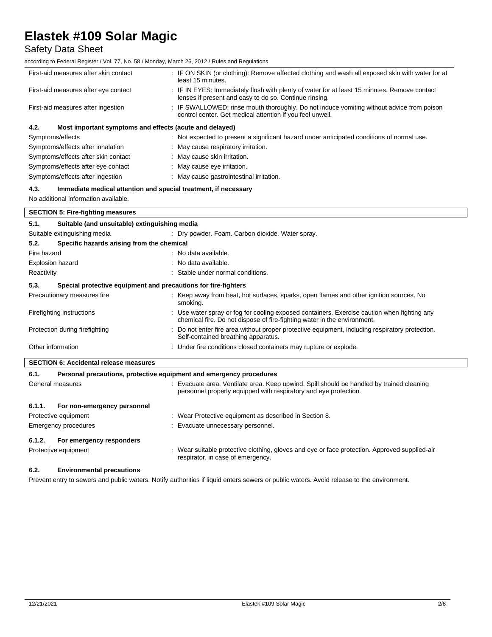## Safety Data Sheet

according to Federal Register / Vol. 77, No. 58 / Monday, March 26, 2012 / Rules and Regulations

| First-aid measures after skin contact                           | : IF ON SKIN (or clothing): Remove affected clothing and wash all exposed skin with water for at<br>least 15 minutes.                                  |  |
|-----------------------------------------------------------------|--------------------------------------------------------------------------------------------------------------------------------------------------------|--|
| First-aid measures after eye contact                            | : IF IN EYES: Immediately flush with plenty of water for at least 15 minutes. Remove contact<br>lenses if present and easy to do so. Continue rinsing. |  |
| First-aid measures after ingestion                              | : IF SWALLOWED: rinse mouth thoroughly. Do not induce vomiting without advice from poison<br>control center. Get medical attention if you feel unwell. |  |
| 4.2.<br>Most important symptoms and effects (acute and delayed) |                                                                                                                                                        |  |
| Symptoms/effects                                                | : Not expected to present a significant hazard under anticipated conditions of normal use.                                                             |  |
| Symptoms/effects after inhalation                               | : May cause respiratory irritation.                                                                                                                    |  |
| Symptoms/effects after skin contact                             | : May cause skin irritation.                                                                                                                           |  |
| Symptoms/effects after eye contact                              | : May cause eye irritation.                                                                                                                            |  |
| Symptoms/effects after ingestion                                | : May cause gastrointestinal irritation.                                                                                                               |  |

#### **4.3. Immediate medical attention and special treatment, if necessary**

Protective equipment : Wear Protective equipment as described in Section 8.

Emergency procedures **in the contract of the Contract Execute** Execute unnecessary personnel.

No additional information available.

**6.1.2. For emergency responders**

**6.2. Environmental precautions**

| <b>SECTION 5: Fire-fighting measures</b>                                    |                                                                                                                                                                        |                                                                                                                                                                         |  |
|-----------------------------------------------------------------------------|------------------------------------------------------------------------------------------------------------------------------------------------------------------------|-------------------------------------------------------------------------------------------------------------------------------------------------------------------------|--|
| 5.1.                                                                        | Suitable (and unsuitable) extinguishing media                                                                                                                          |                                                                                                                                                                         |  |
|                                                                             | Suitable extinguishing media<br>: Dry powder. Foam. Carbon dioxide. Water spray.                                                                                       |                                                                                                                                                                         |  |
| 5.2.                                                                        | Specific hazards arising from the chemical                                                                                                                             |                                                                                                                                                                         |  |
| Fire hazard<br>: No data available.                                         |                                                                                                                                                                        |                                                                                                                                                                         |  |
| Explosion hazard                                                            |                                                                                                                                                                        | : No data available.                                                                                                                                                    |  |
|                                                                             | Stable under normal conditions.<br>Reactivity                                                                                                                          |                                                                                                                                                                         |  |
| 5.3.<br>Special protective equipment and precautions for fire-fighters      |                                                                                                                                                                        |                                                                                                                                                                         |  |
|                                                                             | Precautionary measures fire                                                                                                                                            | : Keep away from heat, hot surfaces, sparks, open flames and other ignition sources. No<br>smoking.                                                                     |  |
|                                                                             | Firefighting instructions                                                                                                                                              | : Use water spray or fog for cooling exposed containers. Exercise caution when fighting any<br>chemical fire. Do not dispose of fire-fighting water in the environment. |  |
|                                                                             | Do not enter fire area without proper protective equipment, including respiratory protection.<br>Protection during firefighting<br>Self-contained breathing apparatus. |                                                                                                                                                                         |  |
| Other information                                                           |                                                                                                                                                                        | : Under fire conditions closed containers may rupture or explode.                                                                                                       |  |
| <b>SECTION 6: Accidental release measures</b>                               |                                                                                                                                                                        |                                                                                                                                                                         |  |
| Personal precautions, protective equipment and emergency procedures<br>6.1. |                                                                                                                                                                        |                                                                                                                                                                         |  |
| General measures                                                            |                                                                                                                                                                        | Evacuate area. Ventilate area. Keep upwind. Spill should be handled by trained cleaning<br>personnel properly equipped with respiratory and eye protection.             |  |
| 6.1.1.                                                                      | For non-emergency personnel                                                                                                                                            |                                                                                                                                                                         |  |

Protective equipment : Wear suitable protective clothing, gloves and eye or face protection. Approved supplied-air respirator, in case of emergency.

Prevent entry to sewers and public waters. Notify authorities if liquid enters sewers or public waters. Avoid release to the environment.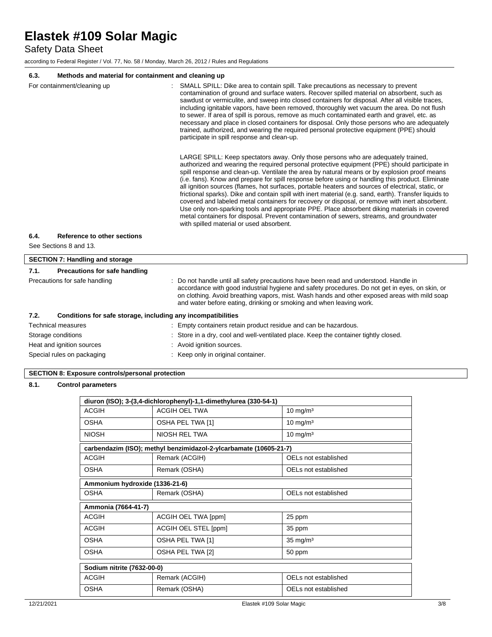Safety Data Sheet

according to Federal Register / Vol. 77, No. 58 / Monday, March 26, 2012 / Rules and Regulations

### **6.3. Methods and material for containment and cleaning up**

| methods and material for contaminent and cleaning up                 |                                                                                                                                                                                                                                                                                                                                                                                                                                                                                                                                                                                                                                                                                                                                                                                                                                                                                                                                                                                                                                                                                                                                                                                                                                                                                                                                                                                                                                                                                                                                                                                                                                                                                   |  |
|----------------------------------------------------------------------|-----------------------------------------------------------------------------------------------------------------------------------------------------------------------------------------------------------------------------------------------------------------------------------------------------------------------------------------------------------------------------------------------------------------------------------------------------------------------------------------------------------------------------------------------------------------------------------------------------------------------------------------------------------------------------------------------------------------------------------------------------------------------------------------------------------------------------------------------------------------------------------------------------------------------------------------------------------------------------------------------------------------------------------------------------------------------------------------------------------------------------------------------------------------------------------------------------------------------------------------------------------------------------------------------------------------------------------------------------------------------------------------------------------------------------------------------------------------------------------------------------------------------------------------------------------------------------------------------------------------------------------------------------------------------------------|--|
| For containment/cleaning up                                          | SMALL SPILL: Dike area to contain spill. Take precautions as necessary to prevent<br>contamination of ground and surface waters. Recover spilled material on absorbent, such as<br>sawdust or vermiculite, and sweep into closed containers for disposal. After all visible traces,<br>including ignitable vapors, have been removed, thoroughly wet vacuum the area. Do not flush<br>to sewer. If area of spill is porous, remove as much contaminated earth and gravel, etc. as<br>necessary and place in closed containers for disposal. Only those persons who are adequately<br>trained, authorized, and wearing the required personal protective equipment (PPE) should<br>participate in spill response and clean-up.<br>LARGE SPILL: Keep spectators away. Only those persons who are adequately trained,<br>authorized and wearing the required personal protective equipment (PPE) should participate in<br>spill response and clean-up. Ventilate the area by natural means or by explosion proof means<br>(i.e. fans). Know and prepare for spill response before using or handling this product. Eliminate<br>all ignition sources (flames, hot surfaces, portable heaters and sources of electrical, static, or<br>frictional sparks). Dike and contain spill with inert material (e.g. sand, earth). Transfer liquids to<br>covered and labeled metal containers for recovery or disposal, or remove with inert absorbent.<br>Use only non-sparking tools and appropriate PPE. Place absorbent diking materials in covered<br>metal containers for disposal. Prevent contamination of sewers, streams, and groundwater<br>with spilled material or used absorbent. |  |
|                                                                      |                                                                                                                                                                                                                                                                                                                                                                                                                                                                                                                                                                                                                                                                                                                                                                                                                                                                                                                                                                                                                                                                                                                                                                                                                                                                                                                                                                                                                                                                                                                                                                                                                                                                                   |  |
| 6.4.<br>Reference to other sections                                  |                                                                                                                                                                                                                                                                                                                                                                                                                                                                                                                                                                                                                                                                                                                                                                                                                                                                                                                                                                                                                                                                                                                                                                                                                                                                                                                                                                                                                                                                                                                                                                                                                                                                                   |  |
| See Sections 8 and 13.                                               |                                                                                                                                                                                                                                                                                                                                                                                                                                                                                                                                                                                                                                                                                                                                                                                                                                                                                                                                                                                                                                                                                                                                                                                                                                                                                                                                                                                                                                                                                                                                                                                                                                                                                   |  |
| <b>SECTION 7: Handling and storage</b>                               |                                                                                                                                                                                                                                                                                                                                                                                                                                                                                                                                                                                                                                                                                                                                                                                                                                                                                                                                                                                                                                                                                                                                                                                                                                                                                                                                                                                                                                                                                                                                                                                                                                                                                   |  |
| 7.1.<br><b>Precautions for safe handling</b>                         |                                                                                                                                                                                                                                                                                                                                                                                                                                                                                                                                                                                                                                                                                                                                                                                                                                                                                                                                                                                                                                                                                                                                                                                                                                                                                                                                                                                                                                                                                                                                                                                                                                                                                   |  |
| Precautions for safe handling                                        | Do not handle until all safety precautions have been read and understood. Handle in<br>accordance with good industrial hygiene and safety procedures. Do not get in eyes, on skin, or<br>on clothing. Avoid breathing vapors, mist. Wash hands and other exposed areas with mild soap<br>and water before eating, drinking or smoking and when leaving work.                                                                                                                                                                                                                                                                                                                                                                                                                                                                                                                                                                                                                                                                                                                                                                                                                                                                                                                                                                                                                                                                                                                                                                                                                                                                                                                      |  |
| 7.2.<br>Conditions for safe storage, including any incompatibilities |                                                                                                                                                                                                                                                                                                                                                                                                                                                                                                                                                                                                                                                                                                                                                                                                                                                                                                                                                                                                                                                                                                                                                                                                                                                                                                                                                                                                                                                                                                                                                                                                                                                                                   |  |
| <b>Technical measures</b>                                            | : Empty containers retain product residue and can be hazardous.                                                                                                                                                                                                                                                                                                                                                                                                                                                                                                                                                                                                                                                                                                                                                                                                                                                                                                                                                                                                                                                                                                                                                                                                                                                                                                                                                                                                                                                                                                                                                                                                                   |  |
| Storage conditions                                                   | Store in a dry, cool and well-ventilated place. Keep the container tightly closed.                                                                                                                                                                                                                                                                                                                                                                                                                                                                                                                                                                                                                                                                                                                                                                                                                                                                                                                                                                                                                                                                                                                                                                                                                                                                                                                                                                                                                                                                                                                                                                                                |  |
|                                                                      |                                                                                                                                                                                                                                                                                                                                                                                                                                                                                                                                                                                                                                                                                                                                                                                                                                                                                                                                                                                                                                                                                                                                                                                                                                                                                                                                                                                                                                                                                                                                                                                                                                                                                   |  |

Heat and ignition sources **in the state of the state of the state of the state of the state of the state of the state of the state of the state of the state of the state of the state of the state of the state of the state** 

Special rules on packaging **in the case of the Container** : Keep only in original container.

### **SECTION 8: Exposure controls/personal protection**

### **8.1. Control parameters**

| diuron (ISO); 3-(3,4-dichlorophenyl)-1,1-dimethylurea (330-54-1) |                                                                   |                      |
|------------------------------------------------------------------|-------------------------------------------------------------------|----------------------|
| ACGIH                                                            | ACGIH OEL TWA                                                     | $10 \text{ mg/m}^3$  |
| <b>OSHA</b>                                                      | OSHA PEL TWA [1]                                                  | $10 \text{ mg/m}^3$  |
| <b>NIOSH</b>                                                     | NIOSH REI TWA                                                     | $10 \text{ mg/m}^3$  |
|                                                                  | carbendazim (ISO); methyl benzimidazol-2-ylcarbamate (10605-21-7) |                      |
| <b>ACGIH</b>                                                     | Remark (ACGIH)                                                    | OELs not established |
| <b>OSHA</b>                                                      | Remark (OSHA)                                                     | OELs not established |
| Ammonium hydroxide (1336-21-6)                                   |                                                                   |                      |
| <b>OSHA</b>                                                      | Remark (OSHA)                                                     | OELs not established |
| Ammonia (7664-41-7)                                              |                                                                   |                      |
| <b>ACGIH</b>                                                     | ACGIH OEL TWA [ppm]                                               | 25 ppm               |
| ACGIH                                                            | ACGIH OEL STEL [ppm]                                              | 35 ppm               |
| <b>OSHA</b>                                                      | OSHA PEL TWA [1]                                                  | $35 \text{ mg/m}^3$  |
| <b>OSHA</b>                                                      | OSHA PEL TWA [2]                                                  | 50 ppm               |
| Sodium nitrite (7632-00-0)                                       |                                                                   |                      |
| <b>ACGIH</b>                                                     | Remark (ACGIH)                                                    | OELs not established |
| <b>OSHA</b>                                                      | Remark (OSHA)                                                     | OELs not established |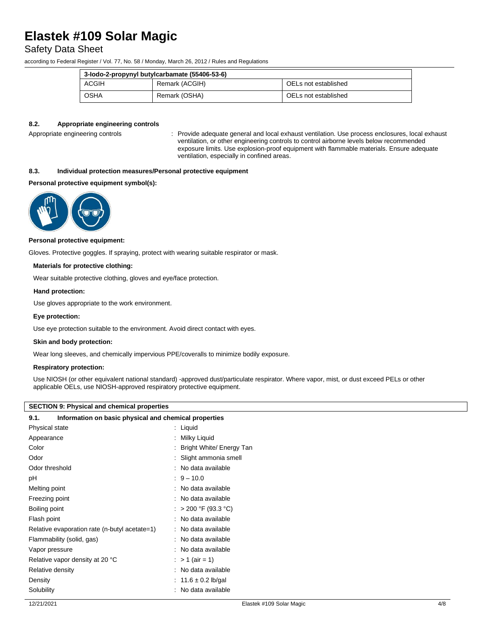### Safety Data Sheet

according to Federal Register / Vol. 77, No. 58 / Monday, March 26, 2012 / Rules and Regulations

| 3-lodo-2-propynyl butylcarbamate (55406-53-6) |                |                      |
|-----------------------------------------------|----------------|----------------------|
| ACGIH                                         | Remark (ACGIH) | OELs not established |
| OSHA                                          | Remark (OSHA)  | OELs not established |

#### **8.2. Appropriate engineering controls**

Appropriate engineering controls : Provide adequate general and local exhaust ventilation. Use process enclosures, local exhaust ventilation, or other engineering controls to control airborne levels below recommended exposure limits. Use explosion-proof equipment with flammable materials. Ensure adequate ventilation, especially in confined areas.

### **8.3. Individual protection measures/Personal protective equipment**

#### **Personal protective equipment symbol(s):**



#### **Personal protective equipment:**

Gloves. Protective goggles. If spraying, protect with wearing suitable respirator or mask.

#### **Materials for protective clothing:**

Wear suitable protective clothing, gloves and eye/face protection.

#### **Hand protection:**

Use gloves appropriate to the work environment.

#### **Eye protection:**

Use eye protection suitable to the environment. Avoid direct contact with eyes.

#### **Skin and body protection:**

Wear long sleeves, and chemically impervious PPE/coveralls to minimize bodily exposure.

#### **Respiratory protection:**

Use NIOSH (or other equivalent national standard) -approved dust/particulate respirator. Where vapor, mist, or dust exceed PELs or other applicable OELs, use NIOSH-approved respiratory protective equipment.

#### **SECTION 9: Physical and chemical properties**

#### **9.1. Information on basic physical and chemical properties**

| Physical state                                | : Liquid                 |
|-----------------------------------------------|--------------------------|
| Appearance                                    | Milky Liquid             |
| Color                                         | Bright White/ Energy Tan |
| Odor                                          | Slight ammonia smell     |
| Odor threshold                                | No data available        |
| рH                                            | $: 9 - 10.0$             |
| Melting point                                 | : No data available      |
| Freezing point                                | : No data available      |
| Boiling point                                 | $>$ 200 °F (93.3 °C)     |
| Flash point                                   | No data available        |
| Relative evaporation rate (n-butyl acetate=1) | : No data available      |
| Flammability (solid, gas)                     | No data available        |
| Vapor pressure                                | : No data available      |
| Relative vapor density at 20 °C               | : > 1 (air = 1)          |
| Relative density                              | : No data available      |
| Density                                       | : 11.6 $\pm$ 0.2 lb/gal  |
| Solubility                                    | : No data available      |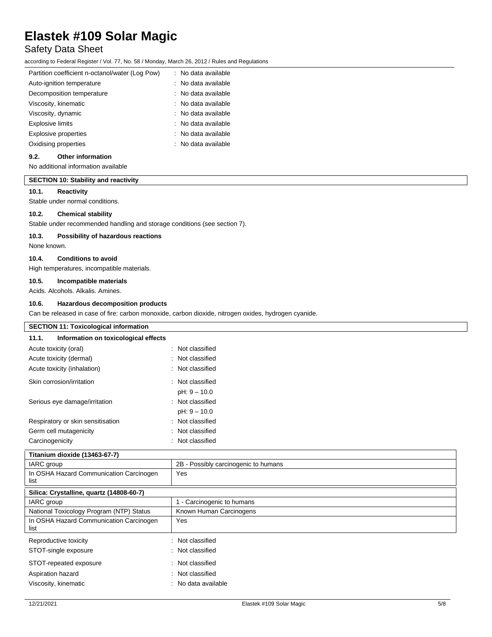## Safety Data Sheet

according to Federal Register / Vol. 77, No. 58 / Monday, March 26, 2012 / Rules and Regulations

| Partition coefficient n-octanol/water (Log Pow) | : No data available   |
|-------------------------------------------------|-----------------------|
| Auto-ignition temperature                       | : No data available   |
| Decomposition temperature                       | : No data available   |
| Viscosity, kinematic                            | : No data available   |
| Viscosity, dynamic                              | $:$ No data available |
| <b>Explosive limits</b>                         | : No data available   |
| <b>Explosive properties</b>                     | : No data available   |
| Oxidising properties                            | $:$ No data available |
|                                                 |                       |

#### **9.2. Other information**

No additional information available

#### **SECTION 10: Stability and reactivity**

#### **10.1. Reactivity**

Stable under normal conditions.

#### **10.2. Chemical stability**

Stable under recommended handling and storage conditions (see section 7).

#### **10.3. Possibility of hazardous reactions**

None known.

#### **10.4. Conditions to avoid**

High temperatures, incompatible materials.

#### **10.5. Incompatible materials**

Acids. Alcohols. Alkalis. Amines.

#### **10.6. Hazardous decomposition products**

Can be released in case of fire: carbon monoxide, carbon dioxide, nitrogen oxides, hydrogen cyanide.

| <b>SECTION 11: Toxicological information</b>    |                                      |  |
|-------------------------------------------------|--------------------------------------|--|
| 11.1.<br>Information on toxicological effects   |                                      |  |
| Acute toxicity (oral)                           | : Not classified                     |  |
| Acute toxicity (dermal)                         | Not classified                       |  |
| Acute toxicity (inhalation)                     | : Not classified                     |  |
| Skin corrosion/irritation                       | : Not classified                     |  |
|                                                 | $pH: 9 - 10.0$                       |  |
| Serious eye damage/irritation                   | : Not classified                     |  |
|                                                 | $pH: 9 - 10.0$                       |  |
| Respiratory or skin sensitisation               | : Not classified                     |  |
| Germ cell mutagenicity                          | Not classified                       |  |
| Carcinogenicity                                 | : Not classified                     |  |
| Titanium dioxide (13463-67-7)                   |                                      |  |
| IARC group                                      | 2B - Possibly carcinogenic to humans |  |
| In OSHA Hazard Communication Carcinogen<br>list | Yes                                  |  |
| Silica: Crystalline, quartz (14808-60-7)        |                                      |  |
| IARC group                                      | 1 - Carcinogenic to humans           |  |
| National Toxicology Program (NTP) Status        | Known Human Carcinogens              |  |
| In OSHA Hazard Communication Carcinogen<br>list | Yes                                  |  |
| Reproductive toxicity                           | : Not classified                     |  |
| STOT-single exposure                            | : Not classified                     |  |
| STOT-repeated exposure                          | : Not classified                     |  |
| Aspiration hazard                               | : Not classified                     |  |
| Viscosity, kinematic                            | : No data available                  |  |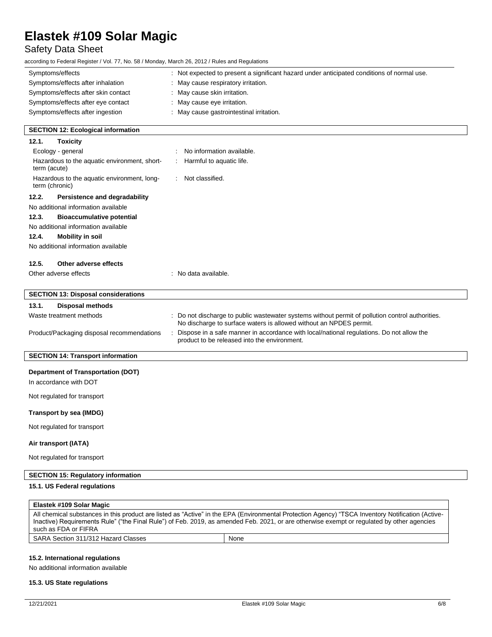## Safety Data Sheet

according to Federal Register / Vol. 77, No. 58 / Monday, March 26, 2012 / Rules and Regulations

| 3.30                                                                       |                                                                                                                                                                      |  |
|----------------------------------------------------------------------------|----------------------------------------------------------------------------------------------------------------------------------------------------------------------|--|
| Symptoms/effects                                                           | : Not expected to present a significant hazard under anticipated conditions of normal use.                                                                           |  |
| Symptoms/effects after inhalation                                          | : May cause respiratory irritation.                                                                                                                                  |  |
| Symptoms/effects after skin contact                                        | : May cause skin irritation.                                                                                                                                         |  |
| Symptoms/effects after eye contact                                         | : May cause eye irritation.                                                                                                                                          |  |
| Symptoms/effects after ingestion<br>May cause gastrointestinal irritation. |                                                                                                                                                                      |  |
| <b>SECTION 12: Ecological information</b>                                  |                                                                                                                                                                      |  |
| <b>Toxicity</b><br>12.1.                                                   |                                                                                                                                                                      |  |
| Ecology - general                                                          | No information available.                                                                                                                                            |  |
| Hazardous to the aquatic environment, short-<br>term (acute)               | Harmful to aquatic life.                                                                                                                                             |  |
| Hazardous to the aquatic environment, long-<br>term (chronic)              | Not classified.                                                                                                                                                      |  |
| 12.2.<br>Persistence and degradability                                     |                                                                                                                                                                      |  |
| No additional information available                                        |                                                                                                                                                                      |  |
| 12.3.<br><b>Bioaccumulative potential</b>                                  |                                                                                                                                                                      |  |
| No additional information available                                        |                                                                                                                                                                      |  |
| 12.4.<br><b>Mobility in soil</b>                                           |                                                                                                                                                                      |  |
| No additional information available                                        |                                                                                                                                                                      |  |
| Other adverse effects<br>12.5.                                             |                                                                                                                                                                      |  |
| Other adverse effects                                                      | : No data available.                                                                                                                                                 |  |
| <b>SECTION 13: Disposal considerations</b>                                 |                                                                                                                                                                      |  |
| 13.1.<br>Disposal methods                                                  |                                                                                                                                                                      |  |
| Waste treatment methods                                                    | Do not discharge to public wastewater systems without permit of pollution control authorities.<br>No discharge to surface waters is allowed without an NPDES permit. |  |
| Product/Packaging disposal recommendations                                 | Dispose in a safe manner in accordance with local/national regulations. Do not allow the<br>product to be released into the environment.                             |  |
| <b>SECTION 14: Transport information</b>                                   |                                                                                                                                                                      |  |
| <b>Department of Transportation (DOT)</b><br>In accordance with DOT        |                                                                                                                                                                      |  |
| Not regulated for transport                                                |                                                                                                                                                                      |  |
| Transport by sea (IMDG)                                                    |                                                                                                                                                                      |  |
| Not regulated for transport                                                |                                                                                                                                                                      |  |
| Air transport (IATA)                                                       |                                                                                                                                                                      |  |
| Not regulated for transport                                                |                                                                                                                                                                      |  |
| <b>SECTION 15: Regulatory information</b>                                  |                                                                                                                                                                      |  |
| 15.1. US Federal regulations                                               |                                                                                                                                                                      |  |
| $F_{total}$ $H_{400}$ Calco Ma                                             |                                                                                                                                                                      |  |

| Elastek #109 Solar Magic                                                                                                                          |      |  |  |  |
|---------------------------------------------------------------------------------------------------------------------------------------------------|------|--|--|--|
| All chemical substances in this product are listed as "Active" in the EPA (Environmental Protection Agency) "TSCA Inventory Notification (Active- |      |  |  |  |
| Inactive) Requirements Rule" ("the Final Rule") of Feb. 2019, as amended Feb. 2021, or are otherwise exempt or regulated by other agencies        |      |  |  |  |
| such as FDA or FIFRA                                                                                                                              |      |  |  |  |
| SARA Section 311/312 Hazard Classes                                                                                                               | None |  |  |  |

### **15.2. International regulations**

No additional information available

#### **15.3. US State regulations**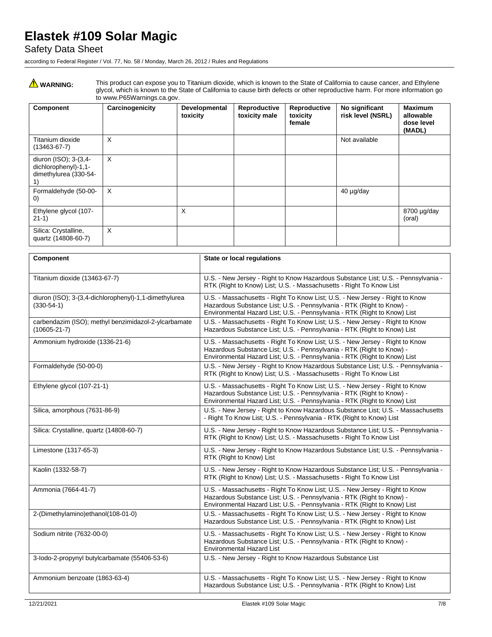### Safety Data Sheet

according to Federal Register / Vol. 77, No. 58 / Monday, March 26, 2012 / Rules and Regulations

WARNING: This product can expose you to Titanium dioxide, which is known to the State of California to cause cancer, and Ethylene glycol, which is known to the State of California to cause birth defects or other reproductive harm. For more information go to www.P65Warnings.ca.gov.

| Component                                                                    | Carcinogenicity | Developmental<br>toxicity | Reproductive<br>toxicity male | Reproductive<br>toxicity<br>female | No significant<br>risk level (NSRL) | <b>Maximum</b><br>allowable<br>dose level<br>(MADL) |
|------------------------------------------------------------------------------|-----------------|---------------------------|-------------------------------|------------------------------------|-------------------------------------|-----------------------------------------------------|
| Titanium dioxide<br>$(13463 - 67 - 7)$                                       | X               |                           |                               |                                    | Not available                       |                                                     |
| diuron (ISO); 3-(3,4-<br>dichlorophenyl)-1,1-<br>dimethylurea (330-54-<br>1) | X               |                           |                               |                                    |                                     |                                                     |
| Formaldehyde (50-00-<br>$\left( 0\right)$                                    | X               |                           |                               |                                    | 40 µg/day                           |                                                     |
| Ethylene glycol (107-<br>$21-1)$                                             |                 | $\times$                  |                               |                                    |                                     | 8700 µg/day<br>(oral)                               |
| Silica: Crystalline,<br>quartz (14808-60-7)                                  | X               |                           |                               |                                    |                                     |                                                     |

| Component                                                                  | <b>State or local regulations</b>                                                                                                                                                                                                  |
|----------------------------------------------------------------------------|------------------------------------------------------------------------------------------------------------------------------------------------------------------------------------------------------------------------------------|
| Titanium dioxide (13463-67-7)                                              | U.S. - New Jersey - Right to Know Hazardous Substance List; U.S. - Pennsylvania -<br>RTK (Right to Know) List; U.S. - Massachusetts - Right To Know List                                                                           |
| diuron (ISO); 3-(3,4-dichlorophenyl)-1,1-dimethylurea<br>$(330-54-1)$      | U.S. - Massachusetts - Right To Know List; U.S. - New Jersey - Right to Know<br>Hazardous Substance List: U.S. - Pennsylvania - RTK (Right to Know) -<br>Environmental Hazard List; U.S. - Pennsylvania - RTK (Right to Know) List |
| carbendazim (ISO); methyl benzimidazol-2-ylcarbamate<br>$(10605 - 21 - 7)$ | U.S. - Massachusetts - Right To Know List; U.S. - New Jersey - Right to Know<br>Hazardous Substance List; U.S. - Pennsylvania - RTK (Right to Know) List                                                                           |
| Ammonium hydroxide (1336-21-6)                                             | U.S. - Massachusetts - Right To Know List; U.S. - New Jersey - Right to Know<br>Hazardous Substance List; U.S. - Pennsylvania - RTK (Right to Know) -<br>Environmental Hazard List; U.S. - Pennsylvania - RTK (Right to Know) List |
| Formaldehyde (50-00-0)                                                     | U.S. - New Jersey - Right to Know Hazardous Substance List; U.S. - Pennsylvania -<br>RTK (Right to Know) List; U.S. - Massachusetts - Right To Know List                                                                           |
| Ethylene glycol (107-21-1)                                                 | U.S. - Massachusetts - Right To Know List; U.S. - New Jersey - Right to Know<br>Hazardous Substance List; U.S. - Pennsylvania - RTK (Right to Know) -<br>Environmental Hazard List; U.S. - Pennsylvania - RTK (Right to Know) List |
| Silica, amorphous (7631-86-9)                                              | U.S. - New Jersey - Right to Know Hazardous Substance List; U.S. - Massachusetts<br>- Right To Know List; U.S. - Pennsylvania - RTK (Right to Know) List                                                                           |
| Silica: Crystalline, quartz (14808-60-7)                                   | U.S. - New Jersey - Right to Know Hazardous Substance List; U.S. - Pennsylvania -<br>RTK (Right to Know) List; U.S. - Massachusetts - Right To Know List                                                                           |
| Limestone (1317-65-3)                                                      | U.S. - New Jersey - Right to Know Hazardous Substance List; U.S. - Pennsylvania -<br>RTK (Right to Know) List                                                                                                                      |
| Kaolin (1332-58-7)                                                         | U.S. - New Jersey - Right to Know Hazardous Substance List; U.S. - Pennsylvania -<br>RTK (Right to Know) List: U.S. - Massachusetts - Right To Know List                                                                           |
| Ammonia (7664-41-7)                                                        | U.S. - Massachusetts - Right To Know List; U.S. - New Jersey - Right to Know<br>Hazardous Substance List; U.S. - Pennsylvania - RTK (Right to Know) -<br>Environmental Hazard List; U.S. - Pennsylvania - RTK (Right to Know) List |
| 2-(Dimethylamino)ethanol(108-01-0)                                         | U.S. - Massachusetts - Right To Know List; U.S. - New Jersey - Right to Know<br>Hazardous Substance List: U.S. - Pennsylvania - RTK (Right to Know) List                                                                           |
| Sodium nitrite (7632-00-0)                                                 | U.S. - Massachusetts - Right To Know List; U.S. - New Jersey - Right to Know<br>Hazardous Substance List; U.S. - Pennsylvania - RTK (Right to Know) -<br><b>Environmental Hazard List</b>                                          |
| 3-lodo-2-propynyl butylcarbamate (55406-53-6)                              | U.S. - New Jersey - Right to Know Hazardous Substance List                                                                                                                                                                         |
| Ammonium benzoate (1863-63-4)                                              | U.S. - Massachusetts - Right To Know List; U.S. - New Jersey - Right to Know<br>Hazardous Substance List; U.S. - Pennsylvania - RTK (Right to Know) List                                                                           |